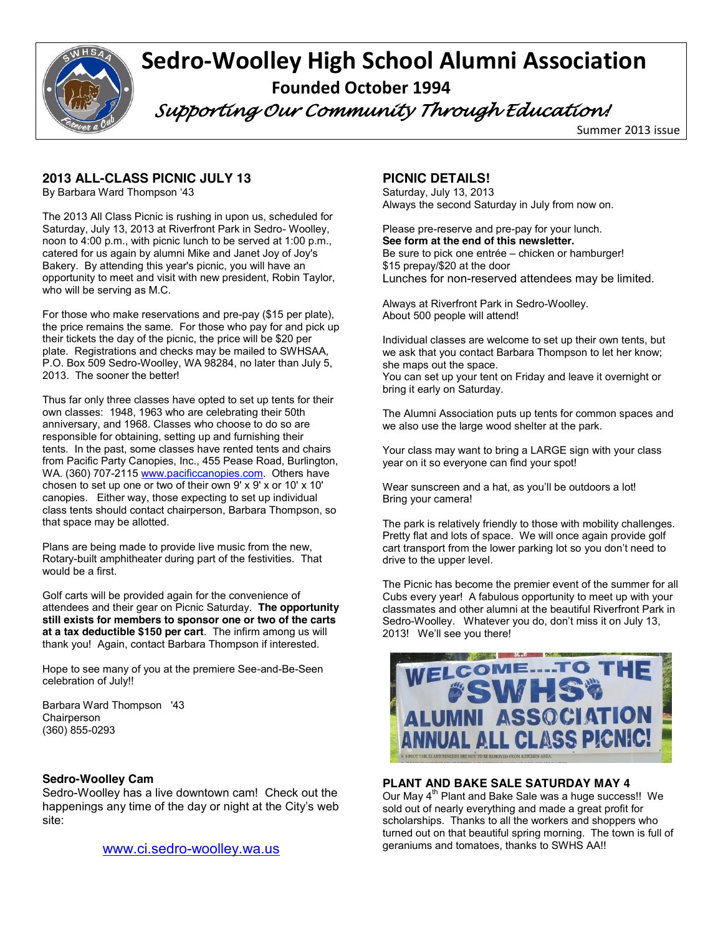

# **Sedro-Woolley High School Alumni Association Founded October 1994**

 *Supporting Our Community Through Education!* 

Summer 2013 issue

# **2013 ALL-CLASS PICNIC JULY 13**

By Barbara Ward Thompson '43

The 2013 All Class Picnic is rushing in upon us, scheduled for Saturday, July 13, 2013 at Riverfront Park in Sedro- Woolley, noon to 4:00 p.m., with picnic lunch to be served at 1:00 p.m., catered for us again by alumni Mike and Janet Joy of Joy's Bakery. By attending this year's picnic, you will have an opportunity to meet and visit with new president, Robin Taylor, who will be serving as M.C.

For those who make reservations and pre-pay (\$15 per plate), the price remains the same. For those who pay for and pick up their tickets the day of the picnic, the price will be \$20 per plate. Registrations and checks may be mailed to SWHSAA, P.O. Box 509 Sedro-Woolley, WA 98284, no later than July 5, 2013. The sooner the better!

Thus far only three classes have opted to set up tents for their own classes: 1948, 1963 who are celebrating their 50th anniversary, and 1968. Classes who choose to do so are responsible for obtaining, setting up and furnishing their tents. In the past, some classes have rented tents and chairs from Pacific Party Canopies, Inc., 455 Pease Road, Burlington, WA. (360) 707-2115 www.pacificcanopies.com. Others have chosen to set up one or two of their own 9' x 9' x or 10' x 10' canopies. Either way, those expecting to set up individual class tents should contact chairperson, Barbara Thompson, so that space may be allotted.

Plans are being made to provide live music from the new, Rotary-built amphitheater during part of the festivities. That would be a first.

Golf carts will be provided again for the convenience of attendees and their gear on Picnic Saturday. **The opportunity still exists for members to sponsor one or two of the carts at a tax deductible \$150 per cart**. The infirm among us will thank you! Again, contact Barbara Thompson if interested.

Hope to see many of you at the premiere See-and-Be-Seen celebration of July!!

Barbara Ward Thompson '43 Chairperson (360) 855-0293

# **Sedro-Woolley Cam**

Sedro-Woolley has a live downtown cam! Check out the happenings any time of the day or night at the City's web site:

www.ci.sedro-woolley.wa.us

# **PICNIC DETAILS!**

Saturday, July 13, 2013 Always the second Saturday in July from now on.

Please pre-reserve and pre-pay for your lunch. **See form at the end of this newsletter.** Be sure to pick one entrée – chicken or hamburger! \$15 prepay/\$20 at the door Lunches for non-reserved attendees may be limited.

Always at Riverfront Park in Sedro-Woolley. About 500 people will attend!

Individual classes are welcome to set up their own tents, but we ask that you contact Barbara Thompson to let her know; she maps out the space.

You can set up your tent on Friday and leave it overnight or bring it early on Saturday.

The Alumni Association puts up tents for common spaces and we also use the large wood shelter at the park.

Your class may want to bring a LARGE sign with your class year on it so everyone can find your spot!

Wear sunscreen and a hat, as you'll be outdoors a lot! Bring your camera!

The park is relatively friendly to those with mobility challenges. Pretty flat and lots of space. We will once again provide golf cart transport from the lower parking lot so you don't need to drive to the upper level.

The Picnic has become the premier event of the summer for all Cubs every year! A fabulous opportunity to meet up with your classmates and other alumni at the beautiful Riverfront Park in Sedro-Woolley. Whatever you do, don't miss it on July 13, 2013! We'll see you there!



# **PLANT AND BAKE SALE SATURDAY MAY 4**

Our May 4<sup>th</sup> Plant and Bake Sale was a huge success!! We sold out of nearly everything and made a great profit for scholarships. Thanks to all the workers and shoppers who turned out on that beautiful spring morning. The town is full of geraniums and tomatoes, thanks to SWHS AA!!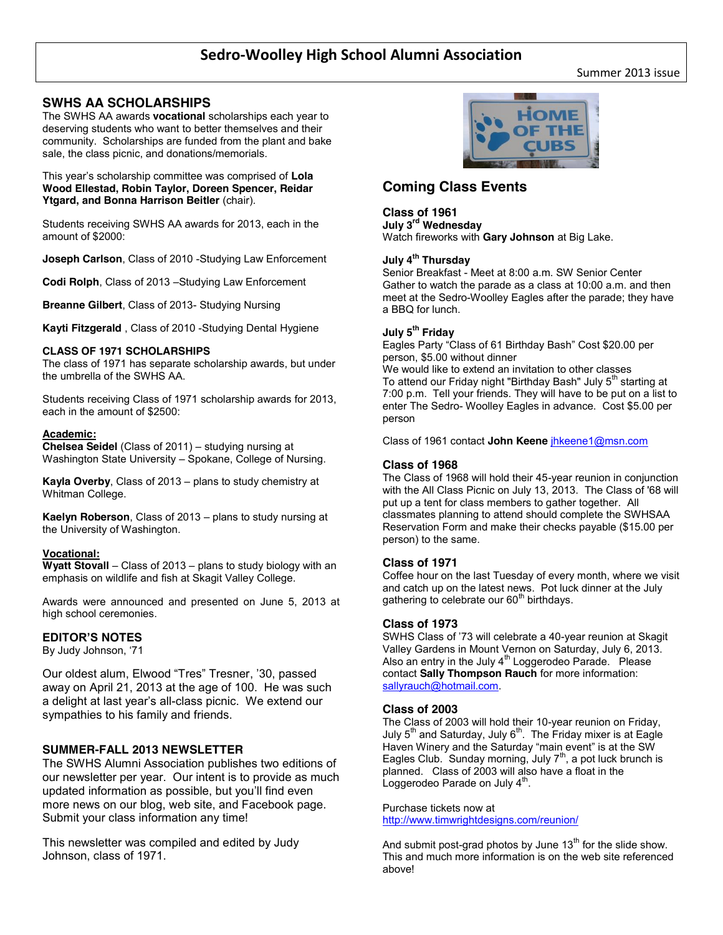# **SWHS AA SCHOLARSHIPS**

The SWHS AA awards **vocational** scholarships each year to deserving students who want to better themselves and their community. Scholarships are funded from the plant and bake sale, the class picnic, and donations/memorials.

This year's scholarship committee was comprised of **Lola Wood Ellestad, Robin Taylor, Doreen Spencer, Reidar Ytgard, and Bonna Harrison Beitler** (chair).

Students receiving SWHS AA awards for 2013, each in the amount of \$2000:

**Joseph Carlson**, Class of 2010 -Studying Law Enforcement

**Codi Rolph**, Class of 2013 –Studying Law Enforcement

**Breanne Gilbert**, Class of 2013- Studying Nursing

**Kayti Fitzgerald** , Class of 2010 -Studying Dental Hygiene

#### **CLASS OF 1971 SCHOLARSHIPS**

The class of 1971 has separate scholarship awards, but under the umbrella of the SWHS AA.

Students receiving Class of 1971 scholarship awards for 2013, each in the amount of \$2500:

#### **Academic:**

**Chelsea Seidel** (Class of 2011) – studying nursing at Washington State University – Spokane, College of Nursing.

**Kayla Overby**, Class of 2013 – plans to study chemistry at Whitman College.

**Kaelyn Roberson**, Class of 2013 – plans to study nursing at the University of Washington.

#### **Vocational:**

**Wyatt Stovall** – Class of 2013 – plans to study biology with an emphasis on wildlife and fish at Skagit Valley College.

Awards were announced and presented on June 5, 2013 at high school ceremonies.

#### **EDITOR'S NOTES**

By Judy Johnson, '71

Our oldest alum, Elwood "Tres" Tresner, '30, passed away on April 21, 2013 at the age of 100. He was such a delight at last year's all-class picnic. We extend our sympathies to his family and friends.

#### **SUMMER-FALL 2013 NEWSLETTER**

The SWHS Alumni Association publishes two editions of our newsletter per year. Our intent is to provide as much updated information as possible, but you'll find even more news on our blog, web site, and Facebook page. Submit your class information any time!

This newsletter was compiled and edited by Judy Johnson, class of 1971.



# **Coming Class Events**

#### **Class of 1961**

**July 3rd Wednesday** 

Watch fireworks with **Gary Johnson** at Big Lake.

### **July 4th Thursday**

Senior Breakfast - Meet at 8:00 a.m. SW Senior Center Gather to watch the parade as a class at 10:00 a.m. and then meet at the Sedro-Woolley Eagles after the parade; they have a BBQ for lunch.

#### **July 5th Friday**

Eagles Party "Class of 61 Birthday Bash" Cost \$20.00 per person, \$5.00 without dinner We would like to extend an invitation to other classes To attend our Friday night "Birthday Bash" July 5<sup>th</sup> starting at 7:00 p.m. Tell your friends. They will have to be put on a list to enter The Sedro- Woolley Eagles in advance. Cost \$5.00 per person

Class of 1961 contact **John Keene** jhkeene1@msn.com

#### **Class of 1968**

The Class of 1968 will hold their 45-year reunion in conjunction with the All Class Picnic on July 13, 2013. The Class of '68 will put up a tent for class members to gather together. All classmates planning to attend should complete the SWHSAA Reservation Form and make their checks payable (\$15.00 per person) to the same.

#### **Class of 1971**

Coffee hour on the last Tuesday of every month, where we visit and catch up on the latest news. Pot luck dinner at the July gathering to celebrate our  $60<sup>th</sup>$  birthdays.

#### **Class of 1973**

SWHS Class of '73 will celebrate a 40-year reunion at Skagit Valley Gardens in Mount Vernon on Saturday, July 6, 2013. Also an entry in the July  $4<sup>th</sup>$  Loggerodeo Parade. Please contact **Sally Thompson Rauch** for more information: sallyrauch@hotmail.com.

#### **Class of 2003**

The Class of 2003 will hold their 10-year reunion on Friday, July  $5<sup>th</sup>$  and Saturday, July  $6<sup>th</sup>$ . The Friday mixer is at Eagle Haven Winery and the Saturday "main event" is at the SW Eagles Club. Sunday morning, July  $7<sup>th</sup>$ , a pot luck brunch is planned. Class of 2003 will also have a float in the Loggerodeo Parade on July  $4<sup>th</sup>$ .

#### Purchase tickets now at http://www.timwrightdesigns.com/reunion/

And submit post-grad photos by June  $13<sup>th</sup>$  for the slide show. This and much more information is on the web site referenced above!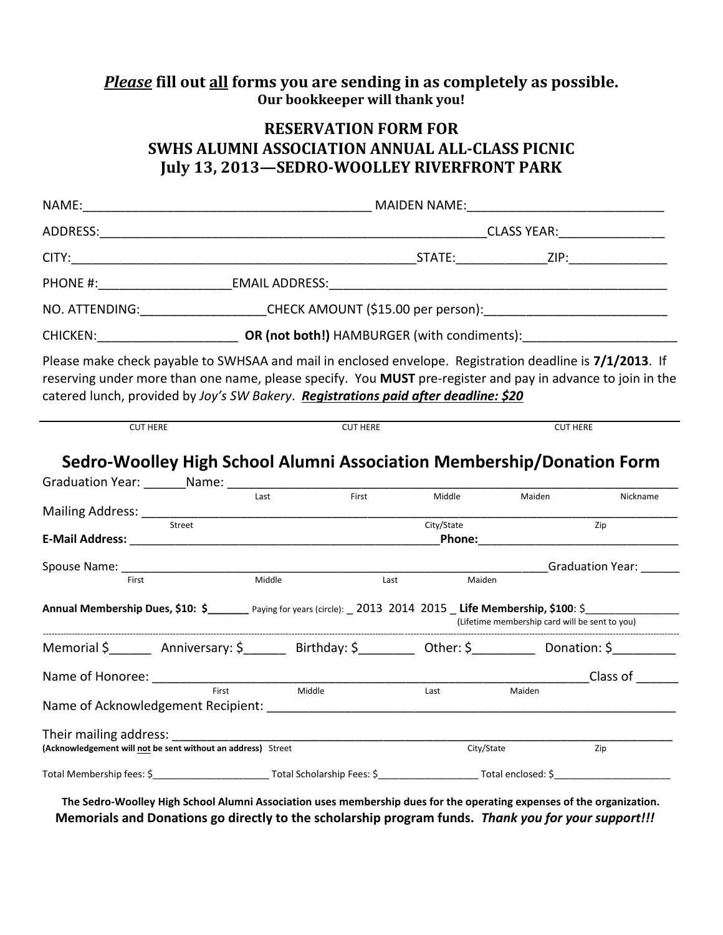# *Please* **fill out all forms you are sending in as completely as possible. Our bookkeeper will thank you!**

# **RESERVATION FORM FOR SWHS ALUMNI ASSOCIATION ANNUAL ALL-CLASS PICNIC July 13, 2013—SEDRO-WOOLLEY RIVERFRONT PARK**

|                                                                                                                                                                                              | PHONE #: EMAIL ADDRESS: EMAIL ADDRESS:                                                                                                                                                                                                                                                                         |                 |            |                                                                                                               |                  |  |
|----------------------------------------------------------------------------------------------------------------------------------------------------------------------------------------------|----------------------------------------------------------------------------------------------------------------------------------------------------------------------------------------------------------------------------------------------------------------------------------------------------------------|-----------------|------------|---------------------------------------------------------------------------------------------------------------|------------------|--|
|                                                                                                                                                                                              | NO. ATTENDING:____________________CHECK AMOUNT (\$15.00 per person):________________________________                                                                                                                                                                                                           |                 |            |                                                                                                               |                  |  |
|                                                                                                                                                                                              | CHICKEN: CHICKEN: CHICKEN: CHICKEN: CHICKEN: CHICKEN:                                                                                                                                                                                                                                                          |                 |            |                                                                                                               |                  |  |
|                                                                                                                                                                                              | Please make check payable to SWHSAA and mail in enclosed envelope. Registration deadline is 7/1/2013. If<br>reserving under more than one name, please specify. You MUST pre-register and pay in advance to join in the<br>catered lunch, provided by Joy's SW Bakery. Registrations paid after deadline: \$20 |                 |            |                                                                                                               |                  |  |
| <b>CUT HERE</b>                                                                                                                                                                              |                                                                                                                                                                                                                                                                                                                | <b>CUT HERE</b> |            | <b>CUT HERE</b>                                                                                               |                  |  |
|                                                                                                                                                                                              | Sedro-Woolley High School Alumni Association Membership/Donation Form                                                                                                                                                                                                                                          |                 |            |                                                                                                               |                  |  |
|                                                                                                                                                                                              | Last                                                                                                                                                                                                                                                                                                           | First           | Middle     | Maiden                                                                                                        | Nickname         |  |
|                                                                                                                                                                                              | Street                                                                                                                                                                                                                                                                                                         |                 | City/State | Phone: All and the state of the state of the state of the state of the state of the state of the state of the | Zip              |  |
| Spouse Name: ______<br>First                                                                                                                                                                 | Middle                                                                                                                                                                                                                                                                                                         | Last            | Maiden     |                                                                                                               | Graduation Year: |  |
| Annual Membership Dues, \$10: \$______ Paying for years (circle): _2013 2014 2015 Life Membership, \$100: \$______________________________<br>(Lifetime membership card will be sent to you) |                                                                                                                                                                                                                                                                                                                |                 |            |                                                                                                               |                  |  |
|                                                                                                                                                                                              | Memorial \$ _________ Anniversary: \$ ________ Birthday: \$ _________ Other: \$ __________ Donation: \$ __________                                                                                                                                                                                             |                 |            |                                                                                                               |                  |  |
|                                                                                                                                                                                              | First                                                                                                                                                                                                                                                                                                          | Middle          | Last       | Maiden                                                                                                        | Class of         |  |
|                                                                                                                                                                                              |                                                                                                                                                                                                                                                                                                                |                 |            |                                                                                                               |                  |  |
| Their mailing address:                                                                                                                                                                       | (Acknowledgement will not be sent without an address) Street                                                                                                                                                                                                                                                   |                 | City/State |                                                                                                               | Zip              |  |
|                                                                                                                                                                                              |                                                                                                                                                                                                                                                                                                                |                 |            |                                                                                                               |                  |  |

**The Sedro-Woolley High School Alumni Association uses membership dues for the operating expenses of the organization. Memorials and Donations go directly to the scholarship program funds.** *Thank you for your support!!!*